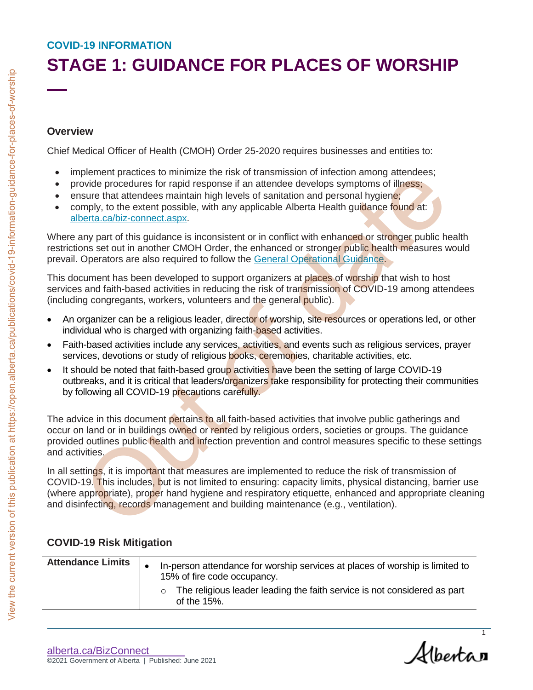# **STAGE 1: GUIDANCE FOR PLACES OF WORSHIP**

#### **Overview**

- implement practices to minimize the risk of transmission of infection among attendees;
- provide procedures for rapid response if an attendee develops symptoms of illness;
- ensure that attendees maintain high levels of sanitation and personal hygiene;
- comply, to the extent possible, with any applicable Alberta Health guidance found at: alberta.ca/biz-connect.aspx.

- An organizer can be a religious leader, director of worship, site resources or operations led, or other individual who is charged with organizing faith-based activities.
- Faith-based activities include any services, activities, and events such as religious services, prayer services, devotions or study of religious books, ceremonies, charitable activities, etc.
- It should be noted that faith-based group activities have been the setting of large COVID-19 outbreaks, and it is critical that leaders/organizers take responsibility for protecting their communities by following all COVID-19 precautions carefully.

#### **COVID-19 Risk Mitigation**

| <b>Overview</b>                                                     |                                                                                                                                                                                                                                                                                                                                                                                                                 |
|---------------------------------------------------------------------|-----------------------------------------------------------------------------------------------------------------------------------------------------------------------------------------------------------------------------------------------------------------------------------------------------------------------------------------------------------------------------------------------------------------|
|                                                                     | Chief Medical Officer of Health (CMOH) Order 25-2020 requires businesses and entities to:                                                                                                                                                                                                                                                                                                                       |
| $\bullet$<br>$\bullet$<br>$\bullet$<br>alberta.ca/biz-connect.aspx. | implement practices to minimize the risk of transmission of infection among attendees;<br>provide procedures for rapid response if an attendee develops symptoms of illness;<br>ensure that attendees maintain high levels of sanitation and personal hygiene;<br>comply, to the extent possible, with any applicable Alberta Health guidance found at:                                                         |
|                                                                     | Where any part of this guidance is inconsistent or in conflict with enhanced or stronger public health<br>restrictions set out in another CMOH Order, the enhanced or stronger public health measures would<br>prevail. Operators are also required to follow the General Operational Guidance.                                                                                                                 |
|                                                                     | This document has been developed to support organizers at places of worship that wish to host<br>services and faith-based activities in reducing the risk of transmission of COVID-19 among attendees<br>(including congregants, workers, volunteers and the general public).                                                                                                                                   |
|                                                                     | An organizer can be a religious leader, director of worship, site resources or operations led, or other<br>individual who is charged with organizing faith-based activities.                                                                                                                                                                                                                                    |
| $\bullet$                                                           | Faith-based activities include any services, activities, and events such as religious services, prayer<br>services, devotions or study of religious books, ceremonies, charitable activities, etc.                                                                                                                                                                                                              |
| $\bullet$                                                           | It should be noted that faith-based group activities have been the setting of large COVID-19<br>outbreaks, and it is critical that leaders/organizers take responsibility for protecting their communities<br>by following all COVID-19 precautions carefully.                                                                                                                                                  |
|                                                                     |                                                                                                                                                                                                                                                                                                                                                                                                                 |
| and activities.                                                     | The advice in this document pertains to all faith-based activities that involve public gatherings and<br>occur on land or in buildings owned or rented by religious orders, societies or groups. The guidance<br>provided outlines public health and infection prevention and control measures specific to these setting                                                                                        |
|                                                                     | In all settings, it is important that measures are implemented to reduce the risk of transmission of<br>COVID-19. This includes, but is not limited to ensuring: capacity limits, physical distancing, barrier use<br>(where appropriate), proper hand hygiene and respiratory etiquette, enhanced and appropriate cleani<br>and disinfecting, records management and building maintenance (e.g., ventilation). |
| <b>COVID-19 Risk Mitigation</b>                                     |                                                                                                                                                                                                                                                                                                                                                                                                                 |
| <b>Attendance Limits</b>                                            | In-person attendance for worship services at places of worship is limited to<br>15% of fire code occupancy.                                                                                                                                                                                                                                                                                                     |
|                                                                     | The religious leader leading the faith service is not considered as part<br>$\circ$<br>of the 15%.                                                                                                                                                                                                                                                                                                              |

[alberta.ca/BizConnect](https://www.alberta.ca/BizConnect) ©2021 Government of Alberta | Published: June 2021

Albertan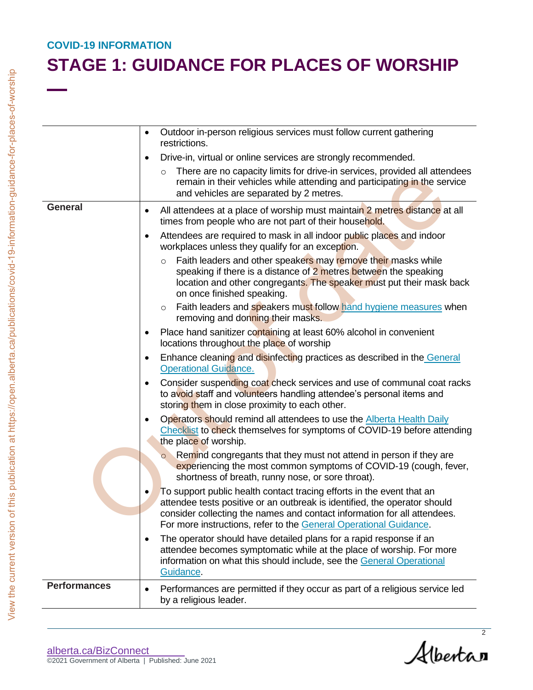|                     | Outdoor in-person religious services must follow current gathering<br>restrictions.                                                                                                                                                                                                                  |
|---------------------|------------------------------------------------------------------------------------------------------------------------------------------------------------------------------------------------------------------------------------------------------------------------------------------------------|
|                     | Drive-in, virtual or online services are strongly recommended.                                                                                                                                                                                                                                       |
|                     | There are no capacity limits for drive-in services, provided all attendees<br>$\circ$<br>remain in their vehicles while attending and participating in the service<br>and vehicles are separated by 2 metres.                                                                                        |
| <b>General</b>      | All attendees at a place of worship must maintain 2 metres distance at all<br>$\bullet$<br>times from people who are not part of their household.                                                                                                                                                    |
|                     | Attendees are required to mask in all indoor public places and indoor<br>workplaces unless they qualify for an exception.                                                                                                                                                                            |
|                     | Faith leaders and other speakers may remove their masks while<br>$\circ$<br>speaking if there is a distance of 2 metres between the speaking<br>location and other congregants. The speaker must put their mask back<br>on once finished speaking.                                                   |
|                     | Faith leaders and speakers must follow hand hygiene measures when<br>$\circ$<br>removing and donning their masks.                                                                                                                                                                                    |
|                     | Place hand sanitizer containing at least 60% alcohol in convenient<br>locations throughout the place of worship                                                                                                                                                                                      |
|                     | Enhance cleaning and disinfecting practices as described in the General<br><b>Operational Guidance.</b>                                                                                                                                                                                              |
|                     | Consider suspending coat check services and use of communal coat racks<br>to avoid staff and volunteers handling attendee's personal items and<br>storing them in close proximity to each other.                                                                                                     |
|                     | Operators should remind all attendees to use the Alberta Health Daily<br>Checklist to check themselves for symptoms of COVID-19 before attending<br>the place of worship.                                                                                                                            |
|                     | Remind congregants that they must not attend in person if they are<br>experiencing the most common symptoms of COVID-19 (cough, fever,<br>shortness of breath, runny nose, or sore throat).                                                                                                          |
|                     | To support public health contact tracing efforts in the event that an<br>$\bullet$<br>attendee tests positive or an outbreak is identified, the operator should<br>consider collecting the names and contact information for all attendees.                                                          |
|                     | For more instructions, refer to the General Operational Guidance.<br>The operator should have detailed plans for a rapid response if an<br>attendee becomes symptomatic while at the place of worship. For more<br>information on what this should include, see the General Operational<br>Guidance. |
| <b>Performances</b> | Performances are permitted if they occur as part of a religious service led<br>by a religious leader.                                                                                                                                                                                                |

Alberta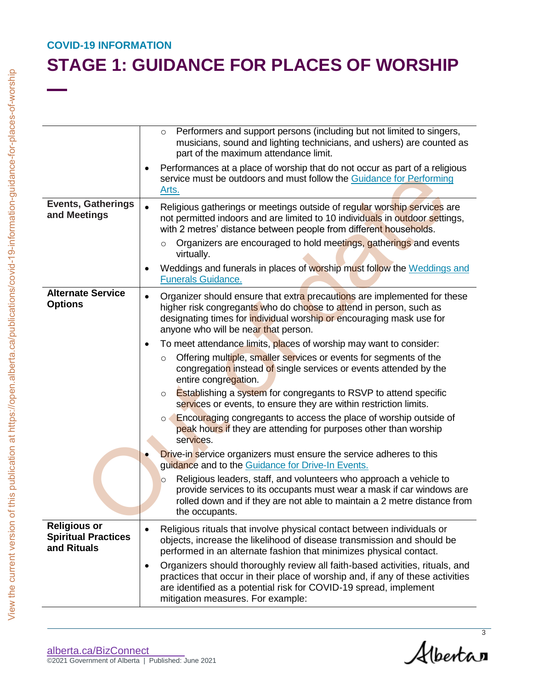|                                                                  | Performers and support persons (including but not limited to singers,<br>$\circ$<br>musicians, sound and lighting technicians, and ushers) are counted as<br>part of the maximum attendance limit.                                                                                    |
|------------------------------------------------------------------|---------------------------------------------------------------------------------------------------------------------------------------------------------------------------------------------------------------------------------------------------------------------------------------|
|                                                                  | Performances at a place of worship that do not occur as part of a religious<br>service must be outdoors and must follow the Guidance for Performing<br>Arts.                                                                                                                          |
| <b>Events, Gatherings</b><br>and Meetings                        | Religious gatherings or meetings outside of regular worship services are<br>not permitted indoors and are limited to 10 individuals in outdoor settings,<br>with 2 metres' distance between people from different households.                                                         |
|                                                                  | Organizers are encouraged to hold meetings, gatherings and events<br>$\circ$<br>virtually.                                                                                                                                                                                            |
|                                                                  | Weddings and funerals in places of worship must follow the Weddings and<br><b>Funerals Guidance.</b>                                                                                                                                                                                  |
| <b>Alternate Service</b><br><b>Options</b>                       | Organizer should ensure that extra precautions are implemented for these<br>$\bullet$<br>higher risk congregants who do choose to attend in person, such as<br>designating times for individual worship or encouraging mask use for<br>anyone who will be near that person.           |
|                                                                  | To meet attendance limits, places of worship may want to consider:<br>Offering multiple, smaller services or events for segments of the<br>$\circ$                                                                                                                                    |
|                                                                  | congregation instead of single services or events attended by the<br>entire congregation.                                                                                                                                                                                             |
|                                                                  | <b>Establishing a system for congregants to RSVP to attend specific</b><br>$\circ$<br>services or events, to ensure they are within restriction limits.                                                                                                                               |
|                                                                  | Encouraging congregants to access the place of worship outside of<br>$\circ$<br>peak hours if they are attending for purposes other than worship<br>services.                                                                                                                         |
|                                                                  | <b>Drive-in service organizers must ensure the service adheres to this</b><br>guidance and to the Guidance for Drive-In Events.                                                                                                                                                       |
|                                                                  | Religious leaders, staff, and volunteers who approach a vehicle to<br>$\circ$<br>provide services to its occupants must wear a mask if car windows are<br>rolled down and if they are not able to maintain a 2 metre distance from<br>the occupants.                                  |
| <b>Religious or</b><br><b>Spiritual Practices</b><br>and Rituals | Religious rituals that involve physical contact between individuals or<br>objects, increase the likelihood of disease transmission and should be<br>performed in an alternate fashion that minimizes physical contact.                                                                |
|                                                                  | Organizers should thoroughly review all faith-based activities, rituals, and<br>$\bullet$<br>practices that occur in their place of worship and, if any of these activities<br>are identified as a potential risk for COVID-19 spread, implement<br>mitigation measures. For example: |

Albertan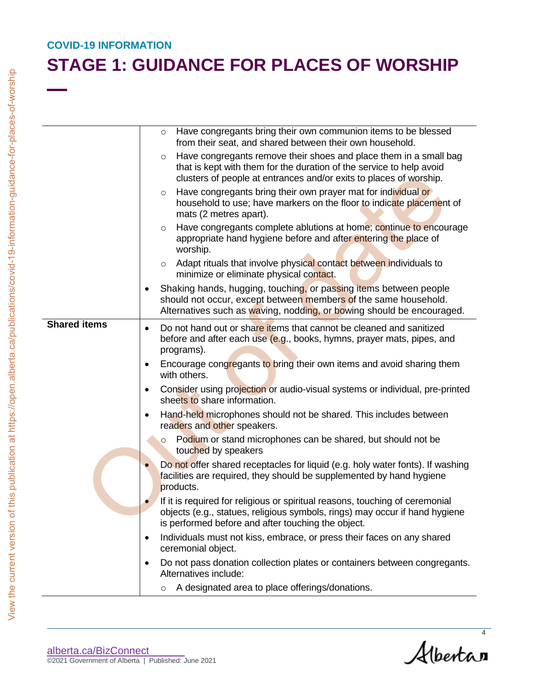|                     | Have congregants bring their own communion items to be blessed<br>$\circ$<br>from their seat, and shared between their own household.                                                                                      |
|---------------------|----------------------------------------------------------------------------------------------------------------------------------------------------------------------------------------------------------------------------|
|                     | Have congregants remove their shoes and place them in a small bag<br>$\circ$<br>that is kept with them for the duration of the service to help avoid<br>clusters of people at entrances and/or exits to places of worship. |
|                     | Have congregants bring their own prayer mat for individual or<br>$\circ$<br>household to use; have markers on the floor to indicate placement of<br>mats (2 metres apart).                                                 |
|                     | Have congregants complete ablutions at home; continue to encourage<br>$\circ$<br>appropriate hand hygiene before and after entering the place of<br>worship.                                                               |
|                     | Adapt rituals that involve physical contact between individuals to<br>$\Omega$<br>minimize or eliminate physical contact.                                                                                                  |
|                     | Shaking hands, hugging, touching, or passing items between people<br>should not occur, except between members of the same household.<br>Alternatives such as waving, nodding, or bowing should be encouraged.              |
| <b>Shared items</b> | Do not hand out or share items that cannot be cleaned and sanitized<br>$\bullet$<br>before and after each use (e.g., books, hymns, prayer mats, pipes, and<br>programs).                                                   |
|                     | Encourage congregants to bring their own items and avoid sharing them<br>with others.                                                                                                                                      |
|                     | Consider using projection or audio-visual systems or individual, pre-printed<br>sheets to share information.                                                                                                               |
|                     | Hand-held microphones should not be shared. This includes between<br>readers and other speakers.                                                                                                                           |
|                     | Podium or stand microphones can be shared, but should not be<br>$\circ$<br>touched by speakers                                                                                                                             |
|                     | Do not offer shared receptacles for liquid (e.g. holy water fonts). If washing<br>facilities are required, they should be supplemented by hand hygiene<br>products.                                                        |
|                     | If it is required for religious or spiritual reasons, touching of ceremonial<br>objects (e.g., statues, religious symbols, rings) may occur if hand hygiene<br>is performed before and after touching the object.          |
|                     | Individuals must not kiss, embrace, or press their faces on any shared<br>ceremonial object.                                                                                                                               |
|                     | Do not pass donation collection plates or containers between congregants.<br>Alternatives include:                                                                                                                         |
|                     | A designated area to place offerings/donations.<br>$\circ$                                                                                                                                                                 |

Albertan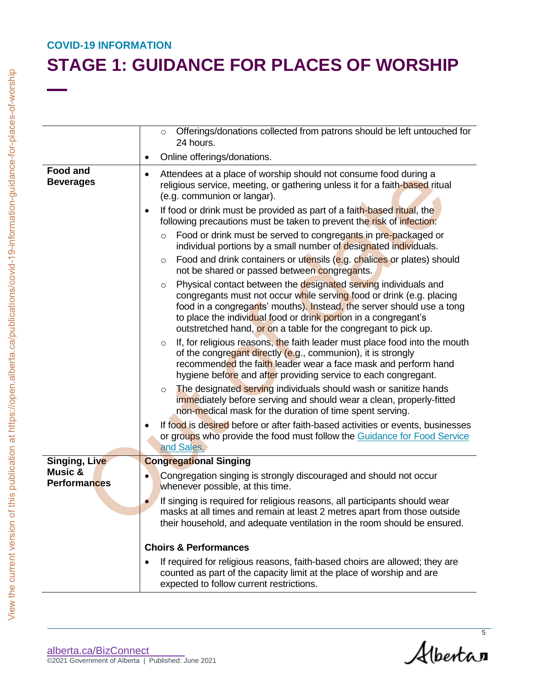|                                           | Offerings/donations collected from patrons should be left untouched for<br>$\circ$                                                                                                                                                                                                                                                                                |
|-------------------------------------------|-------------------------------------------------------------------------------------------------------------------------------------------------------------------------------------------------------------------------------------------------------------------------------------------------------------------------------------------------------------------|
|                                           | 24 hours.                                                                                                                                                                                                                                                                                                                                                         |
|                                           | Online offerings/donations.<br>$\bullet$                                                                                                                                                                                                                                                                                                                          |
| <b>Food and</b><br><b>Beverages</b>       | Attendees at a place of worship should not consume food during a<br>$\bullet$<br>religious service, meeting, or gathering unless it for a faith-based ritual<br>(e.g. communion or langar).                                                                                                                                                                       |
|                                           | If food or drink must be provided as part of a faith-based ritual, the<br>$\bullet$<br>following precautions must be taken to prevent the risk of infection:                                                                                                                                                                                                      |
|                                           | Food or drink must be served to congregants in pre-packaged or<br>$\circ$<br>individual portions by a small number of designated individuals.<br>Food and drink containers or utensils (e.g. chalices or plates) should                                                                                                                                           |
|                                           | $\circ$<br>not be shared or passed between congregants.                                                                                                                                                                                                                                                                                                           |
|                                           | Physical contact between the designated serving individuals and<br>$\circ$<br>congregants must not occur while serving food or drink (e.g. placing<br>food in a congregants' mouths). Instead, the server should use a tong<br>to place the individual food or drink portion in a congregant's<br>outstretched hand, or on a table for the congregant to pick up. |
|                                           | If, for religious reasons, the faith leader must place food into the mouth<br>$\circ$<br>of the congregant directly (e.g., communion), it is strongly<br>recommended the faith leader wear a face mask and perform hand<br>hygiene before and after providing service to each congregant.                                                                         |
|                                           | The designated serving individuals should wash or sanitize hands<br>$\circ$<br>immediately before serving and should wear a clean, properly-fitted<br>non-medical mask for the duration of time spent serving.                                                                                                                                                    |
|                                           | If food is desired before or after faith-based activities or events, businesses<br>or groups who provide the food must follow the Guidance for Food Service<br>and Sales.                                                                                                                                                                                         |
| Singing, Live                             | <b>Congregational Singing</b>                                                                                                                                                                                                                                                                                                                                     |
| <b>Music &amp;</b><br><b>Performances</b> | Congregation singing is strongly discouraged and should not occur<br>whenever possible, at this time.                                                                                                                                                                                                                                                             |
|                                           | If singing is required for religious reasons, all participants should wear<br>masks at all times and remain at least 2 metres apart from those outside<br>their household, and adequate ventilation in the room should be ensured.                                                                                                                                |
|                                           | <b>Choirs &amp; Performances</b>                                                                                                                                                                                                                                                                                                                                  |
|                                           | If required for religious reasons, faith-based choirs are allowed; they are<br>counted as part of the capacity limit at the place of worship and are<br>expected to follow current restrictions.                                                                                                                                                                  |

Albertan